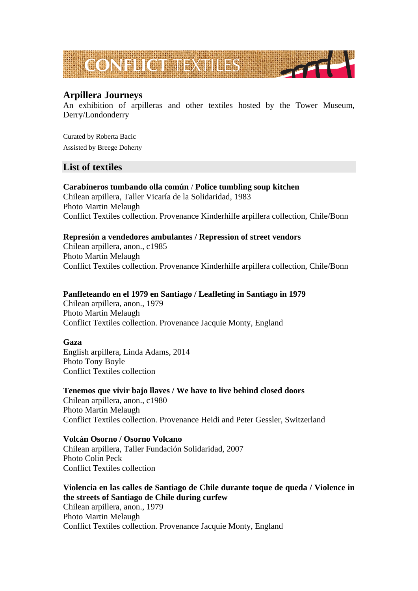

# **Arpillera Journeys**

An exhibition of arpilleras and other textiles hosted by the Tower Museum, Derry/Londonderry

Curated by Roberta Bacic Assisted by Breege Doherty

# **List of textiles**

**Carabineros tumbando olla común** / **Police tumbling soup kitchen**  Chilean arpillera, Taller Vicaría de la Solidaridad, 1983 Photo Martin Melaugh Conflict Textiles collection. Provenance Kinderhilfe arpillera collection, Chile/Bonn

# **Represión a vendedores ambulantes / Repression of street vendors**

Chilean arpillera, anon., c1985 Photo Martin Melaugh Conflict Textiles collection. Provenance Kinderhilfe arpillera collection, Chile/Bonn

## **Panfleteando en el 1979 en Santiago / Leafleting in Santiago in 1979**

Chilean arpillera, anon., 1979 Photo Martin Melaugh Conflict Textiles collection. Provenance Jacquie Monty, England

# **Gaza**

English arpillera, Linda Adams, 2014 Photo Tony Boyle Conflict Textiles collection

# **Tenemos que vivir bajo llaves / We have to live behind closed doors**

Chilean arpillera, anon., c1980 Photo Martin Melaugh Conflict Textiles collection. Provenance Heidi and Peter Gessler, Switzerland

### **Volcán Osorno / Osorno Volcano**

Chilean arpillera, Taller Fundación Solidaridad, 2007 Photo Colin Peck Conflict Textiles collection

## **Violencia en las calles de Santiago de Chile durante toque de queda / Violence in the streets of Santiago de Chile during curfew**

Chilean arpillera, anon., 1979 Photo Martin Melaugh Conflict Textiles collection. Provenance Jacquie Monty, England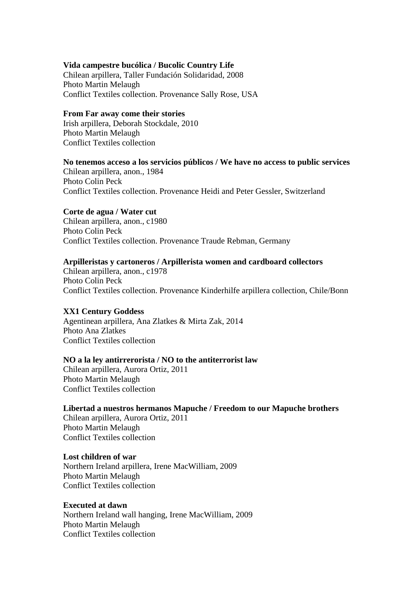### **Vida campestre bucólica / Bucolic Country Life**

Chilean arpillera, Taller Fundación Solidaridad, 2008 Photo Martin Melaugh Conflict Textiles collection. Provenance Sally Rose, USA

### **From Far away come their stories**

Irish arpillera, Deborah Stockdale, 2010 Photo Martin Melaugh Conflict Textiles collection

### **No tenemos acceso a los servicios públicos / We have no access to public services**

Chilean arpillera, anon., 1984 Photo Colin Peck Conflict Textiles collection. Provenance Heidi and Peter Gessler, Switzerland

### **Corte de agua / Water cut**

Chilean arpillera, anon., c1980 Photo Colin Peck Conflict Textiles collection. Provenance Traude Rebman, Germany

### **Arpilleristas y cartoneros / Arpillerista women and cardboard collectors**

Chilean arpillera, anon., c1978 Photo Colin Peck Conflict Textiles collection. Provenance Kinderhilfe arpillera collection, Chile/Bonn

#### **XX1 Century Goddess**

Agentinean arpillera, Ana Zlatkes & Mirta Zak, 2014 Photo Ana Zlatkes Conflict Textiles collection

#### **NO a la ley antirrerorista / NO to the antiterrorist law**

Chilean arpillera, Aurora Ortiz, 2011 Photo Martin Melaugh Conflict Textiles collection

#### **Libertad a nuestros hermanos Mapuche / Freedom to our Mapuche brothers**

Chilean arpillera, Aurora Ortiz, 2011 Photo Martin Melaugh Conflict Textiles collection

#### **Lost children of war**

Northern Ireland arpillera, Irene MacWilliam, 2009 Photo Martin Melaugh Conflict Textiles collection

#### **Executed at dawn**

Northern Ireland wall hanging, Irene MacWilliam, 2009 Photo Martin Melaugh Conflict Textiles collection